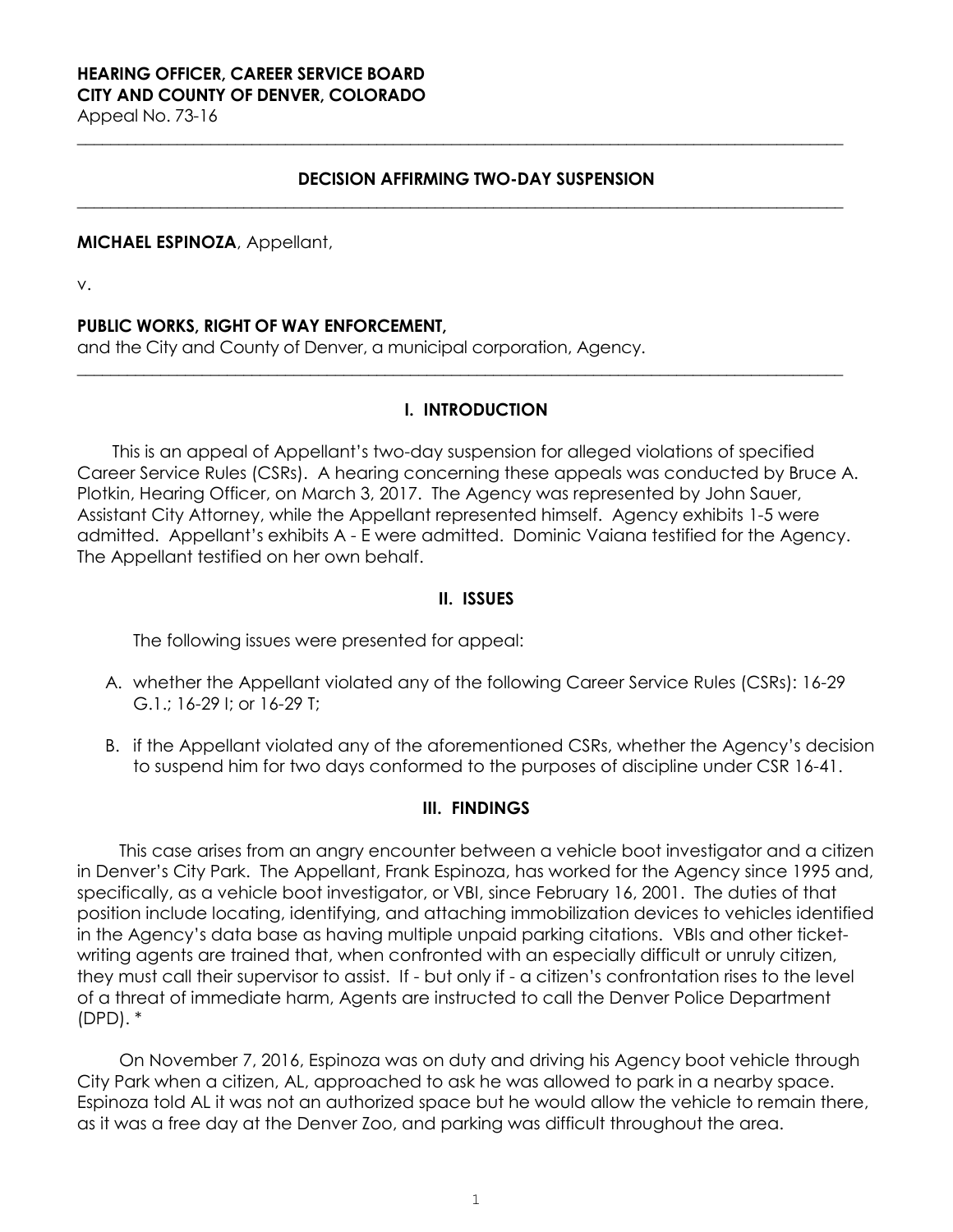# **HEARING OFFICER, CAREER SERVICE BOARD CITY AND COUNTY OF DENVER, COLORADO**

Appeal No. 73-16

#### **DECISION AFFIRMING TWO-DAY SUSPENSION**

**\_\_\_\_\_\_\_\_\_\_\_\_\_\_\_\_\_\_\_\_\_\_\_\_\_\_\_\_\_\_\_\_\_\_\_\_\_\_\_\_\_\_\_\_\_\_\_\_\_\_\_\_\_\_\_\_\_\_\_\_\_\_\_\_\_\_\_\_\_\_\_\_\_\_\_\_\_\_\_\_\_\_\_\_\_\_\_\_\_\_\_\_**

**\_\_\_\_\_\_\_\_\_\_\_\_\_\_\_\_\_\_\_\_\_\_\_\_\_\_\_\_\_\_\_\_\_\_\_\_\_\_\_\_\_\_\_\_\_\_\_\_\_\_\_\_\_\_\_\_\_\_\_\_\_\_\_\_\_\_\_\_\_\_\_\_\_\_\_\_\_\_\_\_\_\_\_\_\_\_\_\_\_\_\_\_**

#### **MICHAEL ESPINOZA**, Appellant,

v.

#### **PUBLIC WORKS, RIGHT OF WAY ENFORCEMENT,**

and the City and County of Denver, a municipal corporation, Agency.

#### **I. INTRODUCTION**

**\_\_\_\_\_\_\_\_\_\_\_\_\_\_\_\_\_\_\_\_\_\_\_\_\_\_\_\_\_\_\_\_\_\_\_\_\_\_\_\_\_\_\_\_\_\_\_\_\_\_\_\_\_\_\_\_\_\_\_\_\_\_\_\_\_\_\_\_\_\_\_\_\_\_\_\_\_\_\_\_\_\_\_\_\_\_\_\_\_\_\_\_**

This is an appeal of Appellant's two-day suspension for alleged violations of specified Career Service Rules (CSRs). A hearing concerning these appeals was conducted by Bruce A. Plotkin, Hearing Officer, on March 3, 2017. The Agency was represented by John Sauer, Assistant City Attorney, while the Appellant represented himself. Agency exhibits 1-5 were admitted. Appellant's exhibits A - E were admitted. Dominic Vaiana testified for the Agency. The Appellant testified on her own behalf.

#### **II. ISSUES**

The following issues were presented for appeal:

- A. whether the Appellant violated any of the following Career Service Rules (CSRs): 16-29 G.1.; 16-29 I; or 16-29 T;
- B. if the Appellant violated any of the aforementioned CSRs, whether the Agency's decision to suspend him for two days conformed to the purposes of discipline under CSR 16-41.

### **III. FINDINGS**

This case arises from an angry encounter between a vehicle boot investigator and a citizen in Denver's City Park. The Appellant, Frank Espinoza, has worked for the Agency since 1995 and, specifically, as a vehicle boot investigator, or VBI, since February 16, 2001. The duties of that position include locating, identifying, and attaching immobilization devices to vehicles identified in the Agency's data base as having multiple unpaid parking citations. VBIs and other ticketwriting agents are trained that, when confronted with an especially difficult or unruly citizen, they must call their supervisor to assist. If - but only if - a citizen's confrontation rises to the level of a threat of immediate harm, Agents are instructed to call the Denver Police Department (DPD). \*

On November 7, 2016, Espinoza was on duty and driving his Agency boot vehicle through City Park when a citizen, AL, approached to ask he was allowed to park in a nearby space. Espinoza told AL it was not an authorized space but he would allow the vehicle to remain there, as it was a free day at the Denver Zoo, and parking was difficult throughout the area.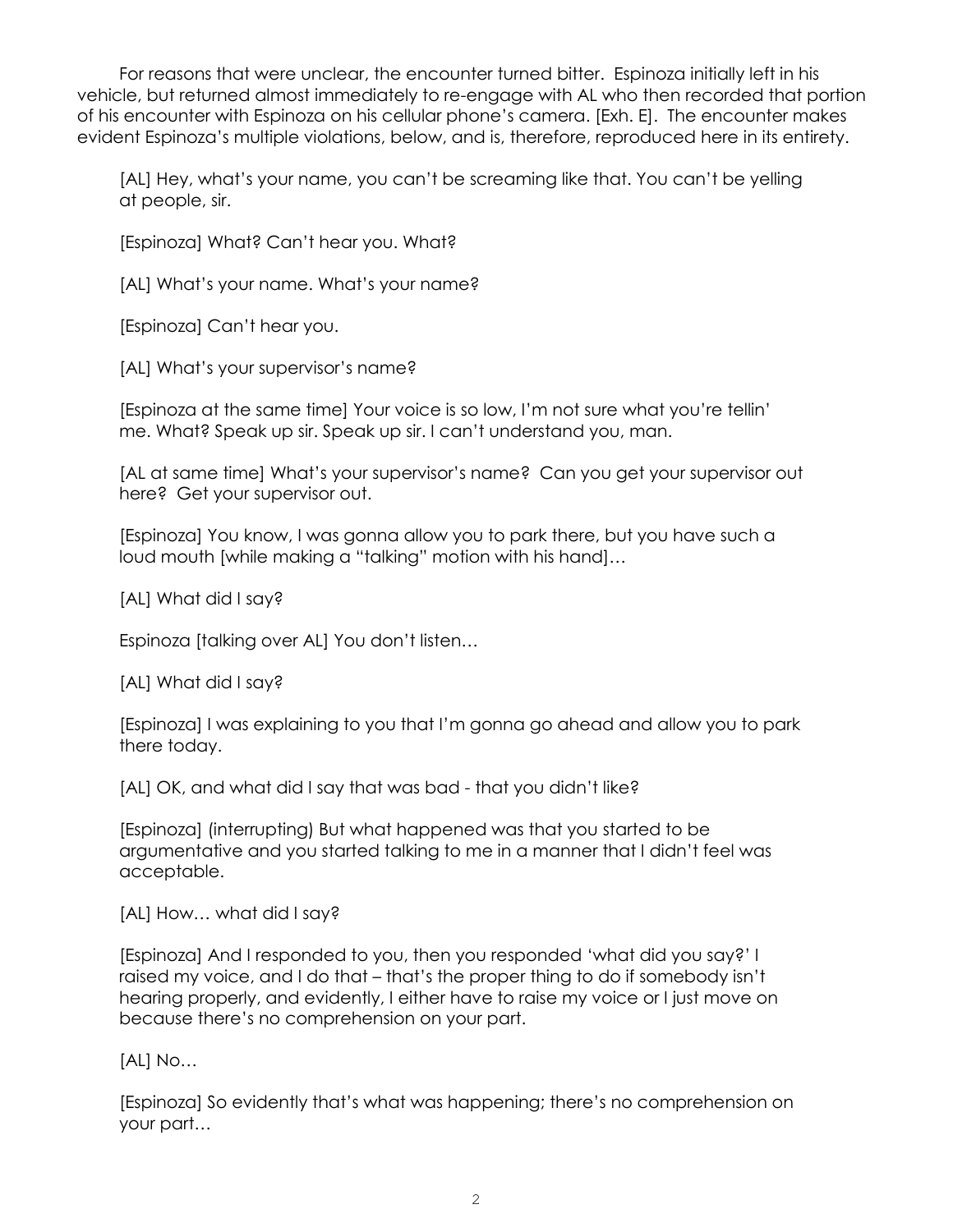For reasons that were unclear, the encounter turned bitter. Espinoza initially left in his vehicle, but returned almost immediately to re-engage with AL who then recorded that portion of his encounter with Espinoza on his cellular phone's camera. [Exh. E]. The encounter makes evident Espinoza's multiple violations, below, and is, therefore, reproduced here in its entirety.

[AL] Hey, what's your name, you can't be screaming like that. You can't be yelling at people, sir.

[Espinoza] What? Can't hear you. What?

[AL] What's your name. What's your name?

[Espinoza] Can't hear you.

[AL] What's your supervisor's name?

[Espinoza at the same time] Your voice is so low, I'm not sure what you're tellin' me. What? Speak up sir. Speak up sir. I can't understand you, man.

[AL at same time] What's your supervisor's name? Can you get your supervisor out here? Get your supervisor out.

[Espinoza] You know, I was gonna allow you to park there, but you have such a loud mouth [while making a "talking" motion with his hand]…

[AL] What did I say?

Espinoza [talking over AL] You don't listen…

[AL] What did I say?

[Espinoza] I was explaining to you that I'm gonna go ahead and allow you to park there today.

[AL] OK, and what did I say that was bad - that you didn't like?

[Espinoza] (interrupting) But what happened was that you started to be argumentative and you started talking to me in a manner that I didn't feel was acceptable.

[AL] How… what did I say?

[Espinoza] And I responded to you, then you responded 'what did you say?' I raised my voice, and I do that – that's the proper thing to do if somebody isn't hearing properly, and evidently, I either have to raise my voice or I just move on because there's no comprehension on your part.

[AL] No…

[Espinoza] So evidently that's what was happening; there's no comprehension on your part…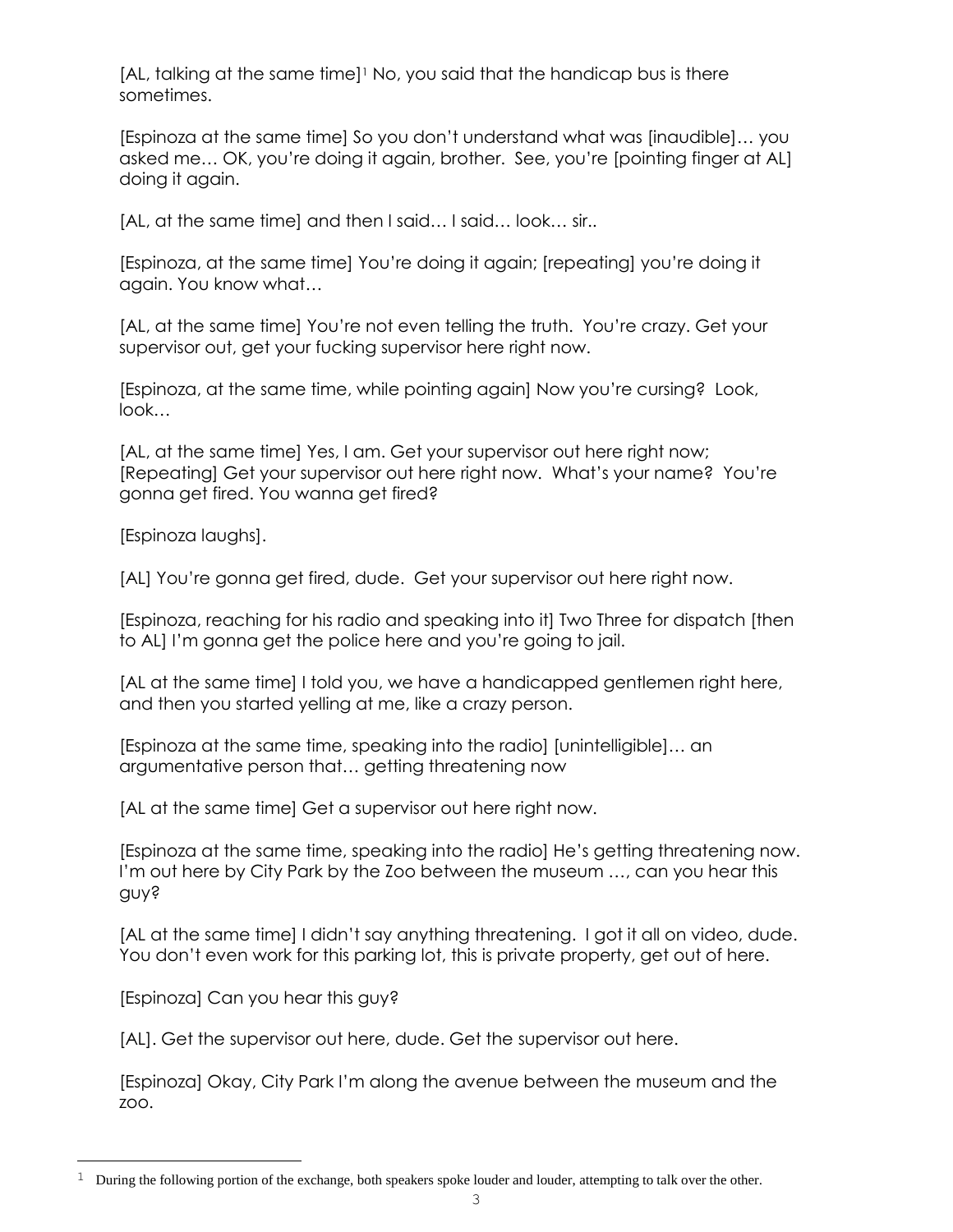[AL, talking at the same time] <sup>1</sup> No, you said that the handicap bus is there sometimes.

[Espinoza at the same time] So you don't understand what was [inaudible]… you asked me… OK, you're doing it again, brother. See, you're [pointing finger at AL] doing it again.

[AL, at the same time] and then I said… I said… look… sir..

[Espinoza, at the same time] You're doing it again; [repeating] you're doing it again. You know what…

[AL, at the same time] You're not even telling the truth. You're crazy. Get your supervisor out, get your fucking supervisor here right now.

[Espinoza, at the same time, while pointing again] Now you're cursing? Look, look…

[AL, at the same time] Yes, I am. Get your supervisor out here right now; [Repeating] Get your supervisor out here right now. What's your name? You're gonna get fired. You wanna get fired?

[Espinoza laughs].

[AL] You're gonna get fired, dude. Get your supervisor out here right now.

[Espinoza, reaching for his radio and speaking into it] Two Three for dispatch [then to AL] I'm gonna get the police here and you're going to jail.

[AL at the same time] I told you, we have a handicapped gentlemen right here, and then you started yelling at me, like a crazy person.

[Espinoza at the same time, speaking into the radio] [unintelligible]… an argumentative person that… getting threatening now

[AL at the same time] Get a supervisor out here right now.

[Espinoza at the same time, speaking into the radio] He's getting threatening now. I'm out here by City Park by the Zoo between the museum …, can you hear this guy?

[AL at the same time] I didn't say anything threatening. I got it all on video, dude. You don't even work for this parking lot, this is private property, get out of here.

[Espinoza] Can you hear this guy?

<u>.</u>

[AL]. Get the supervisor out here, dude. Get the supervisor out here.

[Espinoza] Okay, City Park I'm along the avenue between the museum and the zoo.

<sup>1</sup> During the following portion of the exchange, both speakers spoke louder and louder, attempting to talk over the other.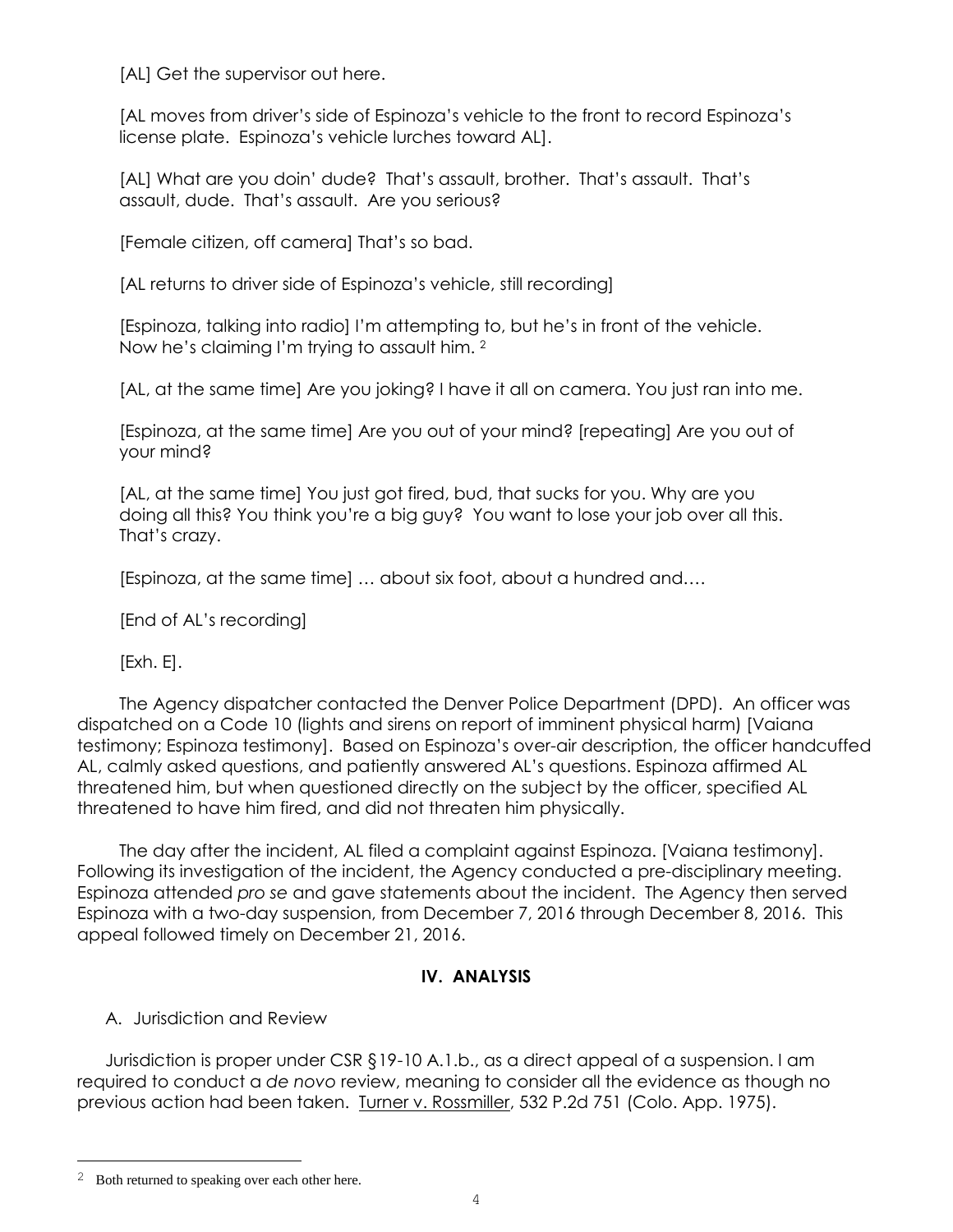[AL] Get the supervisor out here.

[AL moves from driver's side of Espinoza's vehicle to the front to record Espinoza's license plate. Espinoza's vehicle lurches toward AL].

[AL] What are you doin' dude? That's assault, brother. That's assault. That's assault, dude. That's assault. Are you serious?

[Female citizen, off camera] That's so bad.

[AL returns to driver side of Espinoza's vehicle, still recording]

[Espinoza, talking into radio] I'm attempting to, but he's in front of the vehicle. Now he's claiming I'm trying to assault him. <sup>2</sup>

[AL, at the same time] Are you joking? I have it all on camera. You just ran into me.

[Espinoza, at the same time] Are you out of your mind? [repeating] Are you out of your mind?

[AL, at the same time] You just got fired, bud, that sucks for you. Why are you doing all this? You think you're a big guy? You want to lose your job over all this. That's crazy.

[Espinoza, at the same time] … about six foot, about a hundred and….

[End of AL's recording]

[Exh. E].

The Agency dispatcher contacted the Denver Police Department (DPD). An officer was dispatched on a Code 10 (lights and sirens on report of imminent physical harm) [Vaiana testimony; Espinoza testimony]. Based on Espinoza's over-air description, the officer handcuffed AL, calmly asked questions, and patiently answered AL's questions. Espinoza affirmed AL threatened him, but when questioned directly on the subject by the officer, specified AL threatened to have him fired, and did not threaten him physically.

The day after the incident, AL filed a complaint against Espinoza. [Vaiana testimony]. Following its investigation of the incident, the Agency conducted a pre-disciplinary meeting. Espinoza attended *pro se* and gave statements about the incident. The Agency then served Espinoza with a two-day suspension, from December 7, 2016 through December 8, 2016. This appeal followed timely on December 21, 2016.

# **IV. ANALYSIS**

A. Jurisdiction and Review

Jurisdiction is proper under CSR §19-10 A.1.b., as a direct appeal of a suspension. I am required to conduct a *de novo* review, meaning to consider all the evidence as though no previous action had been taken. Turner v. Rossmiller, 532 P.2d 751 (Colo. App. 1975).

<u>.</u>

Both returned to speaking over each other here.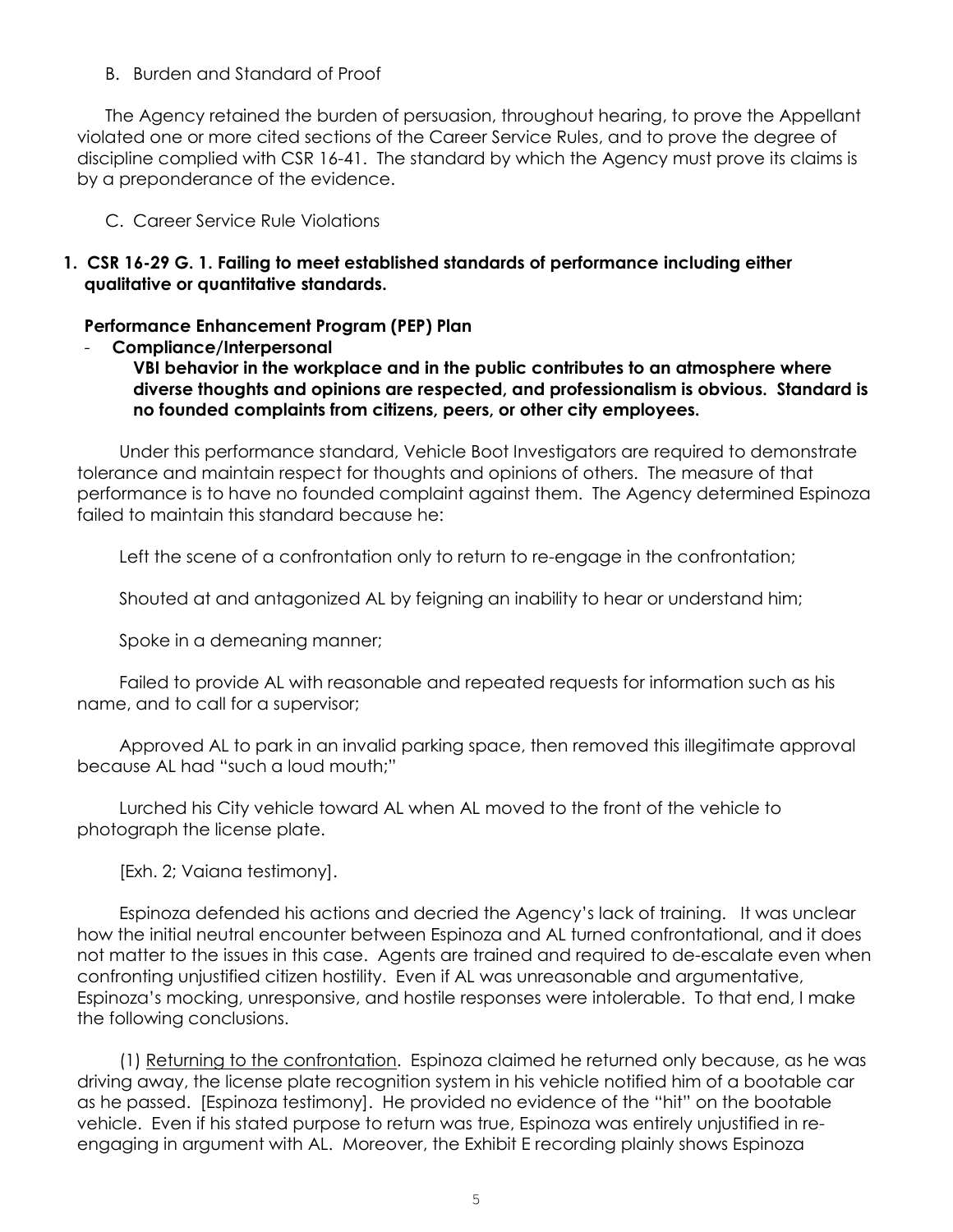### B. Burden and Standard of Proof

The Agency retained the burden of persuasion, throughout hearing, to prove the Appellant violated one or more cited sections of the Career Service Rules, and to prove the degree of discipline complied with CSR 16-41. The standard by which the Agency must prove its claims is by a preponderance of the evidence.

C. Career Service Rule Violations

### **1. CSR 16-29 G. 1. Failing to meet established standards of performance including either qualitative or quantitative standards.**

### **Performance Enhancement Program (PEP) Plan**

- **Compliance/Interpersonal VBI behavior in the workplace and in the public contributes to an atmosphere where diverse thoughts and opinions are respected, and professionalism is obvious. Standard is no founded complaints from citizens, peers, or other city employees.**

Under this performance standard, Vehicle Boot Investigators are required to demonstrate tolerance and maintain respect for thoughts and opinions of others. The measure of that performance is to have no founded complaint against them. The Agency determined Espinoza failed to maintain this standard because he:

Left the scene of a confrontation only to return to re-engage in the confrontation;

Shouted at and antagonized AL by feigning an inability to hear or understand him;

Spoke in a demeaning manner;

Failed to provide AL with reasonable and repeated requests for information such as his name, and to call for a supervisor;

Approved AL to park in an invalid parking space, then removed this illegitimate approval because AL had "such a loud mouth;"

Lurched his City vehicle toward AL when AL moved to the front of the vehicle to photograph the license plate.

[Exh. 2; Vaiana testimony].

Espinoza defended his actions and decried the Agency's lack of training. It was unclear how the initial neutral encounter between Espinoza and AL turned confrontational, and it does not matter to the issues in this case. Agents are trained and required to de-escalate even when confronting unjustified citizen hostility. Even if AL was unreasonable and argumentative, Espinoza's mocking, unresponsive, and hostile responses were intolerable. To that end, I make the following conclusions.

(1) Returning to the confrontation. Espinoza claimed he returned only because, as he was driving away, the license plate recognition system in his vehicle notified him of a bootable car as he passed. [Espinoza testimony]. He provided no evidence of the "hit" on the bootable vehicle. Even if his stated purpose to return was true, Espinoza was entirely unjustified in reengaging in argument with AL. Moreover, the Exhibit E recording plainly shows Espinoza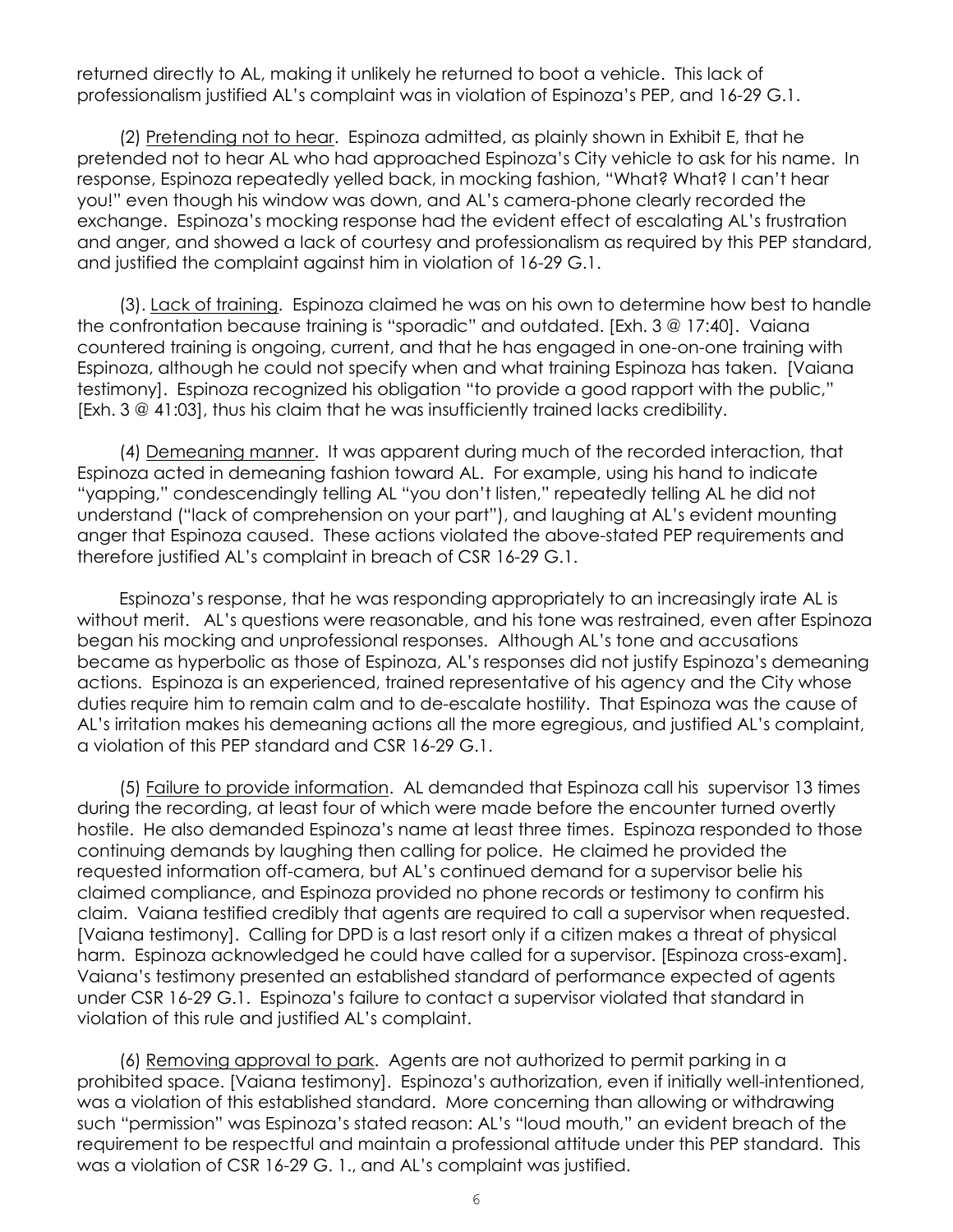returned directly to AL, making it unlikely he returned to boot a vehicle. This lack of professionalism justified AL's complaint was in violation of Espinoza's PEP, and 16-29 G.1.

(2) Pretending not to hear. Espinoza admitted, as plainly shown in Exhibit E, that he pretended not to hear AL who had approached Espinoza's City vehicle to ask for his name. In response, Espinoza repeatedly yelled back, in mocking fashion, "What? What? I can't hear you!" even though his window was down, and AL's camera-phone clearly recorded the exchange. Espinoza's mocking response had the evident effect of escalating AL's frustration and anger, and showed a lack of courtesy and professionalism as required by this PEP standard, and justified the complaint against him in violation of 16-29 G.1.

(3). Lack of training. Espinoza claimed he was on his own to determine how best to handle the confrontation because training is "sporadic" and outdated. [Exh. 3 @ 17:40]. Vaiana countered training is ongoing, current, and that he has engaged in one-on-one training with Espinoza, although he could not specify when and what training Espinoza has taken. [Vaiana testimony]. Espinoza recognized his obligation "to provide a good rapport with the public," [Exh. 3 @ 41:03], thus his claim that he was insufficiently trained lacks credibility.

(4) Demeaning manner. It was apparent during much of the recorded interaction, that Espinoza acted in demeaning fashion toward AL. For example, using his hand to indicate "yapping," condescendingly telling AL "you don't listen," repeatedly telling AL he did not understand ("lack of comprehension on your part"), and laughing at AL's evident mounting anger that Espinoza caused. These actions violated the above-stated PEP requirements and therefore justified AL's complaint in breach of CSR 16-29 G.1.

Espinoza's response, that he was responding appropriately to an increasingly irate AL is without merit. AL's questions were reasonable, and his tone was restrained, even after Espinoza began his mocking and unprofessional responses. Although AL's tone and accusations became as hyperbolic as those of Espinoza, AL's responses did not justify Espinoza's demeaning actions. Espinoza is an experienced, trained representative of his agency and the City whose duties require him to remain calm and to de-escalate hostility. That Espinoza was the cause of AL's irritation makes his demeaning actions all the more egregious, and justified AL's complaint, a violation of this PEP standard and CSR 16-29 G.1.

(5) Failure to provide information. AL demanded that Espinoza call his supervisor 13 times during the recording, at least four of which were made before the encounter turned overtly hostile. He also demanded Espinoza's name at least three times. Espinoza responded to those continuing demands by laughing then calling for police. He claimed he provided the requested information off-camera, but AL's continued demand for a supervisor belie his claimed compliance, and Espinoza provided no phone records or testimony to confirm his claim. Vaiana testified credibly that agents are required to call a supervisor when requested. [Vaiana testimony]. Calling for DPD is a last resort only if a citizen makes a threat of physical harm. Espinoza acknowledged he could have called for a supervisor. [Espinoza cross-exam]. Vaiana's testimony presented an established standard of performance expected of agents under CSR 16-29 G.1. Espinoza's failure to contact a supervisor violated that standard in violation of this rule and justified AL's complaint.

(6) Removing approval to park. Agents are not authorized to permit parking in a prohibited space. [Vaiana testimony]. Espinoza's authorization, even if initially well-intentioned, was a violation of this established standard. More concerning than allowing or withdrawing such "permission" was Espinoza's stated reason: AL's "loud mouth," an evident breach of the requirement to be respectful and maintain a professional attitude under this PEP standard. This was a violation of CSR 16-29 G. 1., and AL's complaint was justified.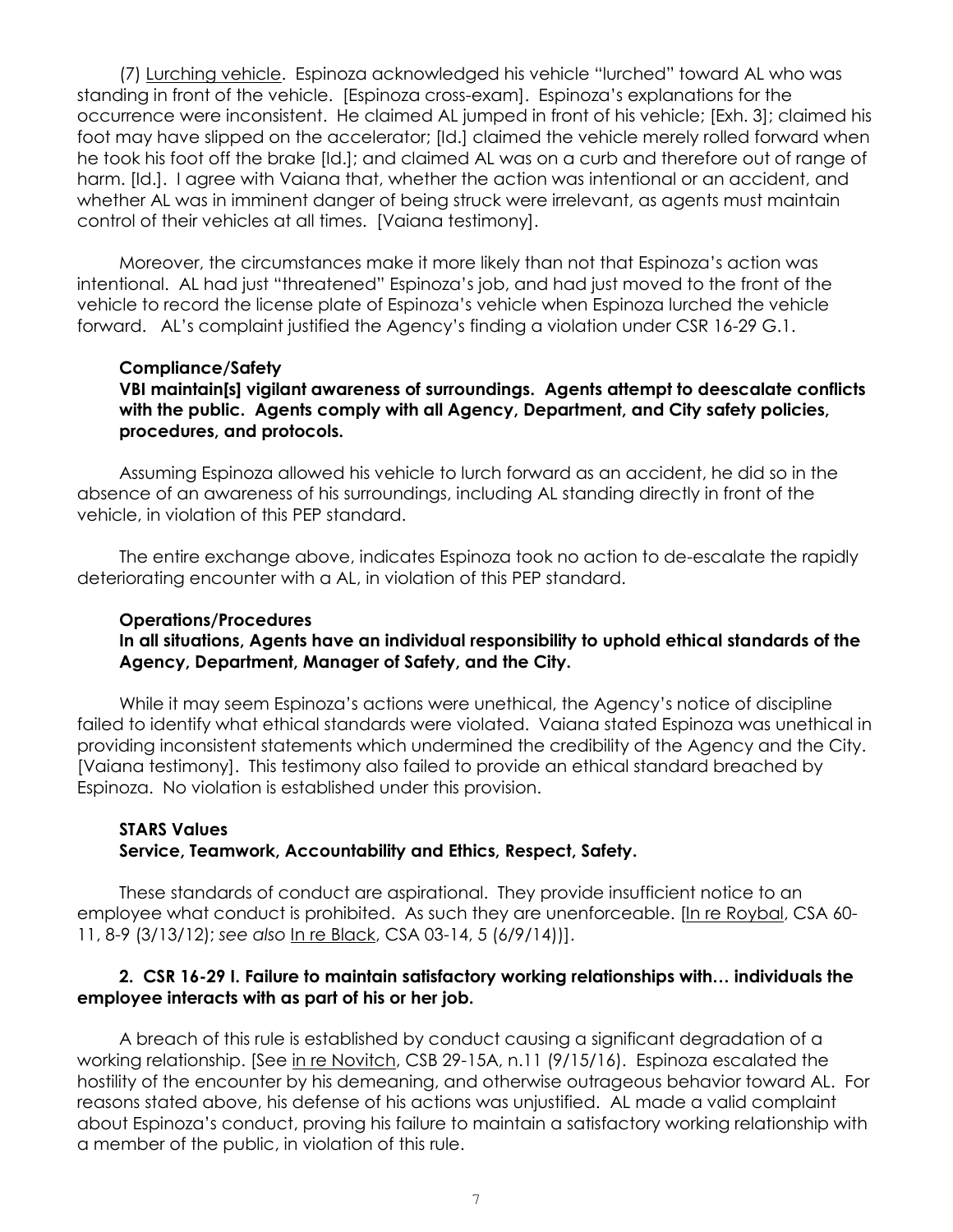(7) Lurching vehicle. Espinoza acknowledged his vehicle "lurched" toward AL who was standing in front of the vehicle. [Espinoza cross-exam]. Espinoza's explanations for the occurrence were inconsistent. He claimed AL jumped in front of his vehicle; [Exh. 3]; claimed his foot may have slipped on the accelerator; [Id.] claimed the vehicle merely rolled forward when he took his foot off the brake [Id.]; and claimed AL was on a curb and therefore out of range of harm. [Id.].I agree with Vaiana that, whether the action was intentional or an accident, and whether AL was in imminent danger of being struck were irrelevant, as agents must maintain control of their vehicles at all times. [Vaiana testimony].

Moreover, the circumstances make it more likely than not that Espinoza's action was intentional. AL had just "threatened" Espinoza's job, and had just moved to the front of the vehicle to record the license plate of Espinoza's vehicle when Espinoza lurched the vehicle forward. AL's complaint justified the Agency's finding a violation under CSR 16-29 G.1.

#### **Compliance/Safety**

**VBI maintain[s] vigilant awareness of surroundings. Agents attempt to deescalate conflicts with the public. Agents comply with all Agency, Department, and City safety policies, procedures, and protocols.**

Assuming Espinoza allowed his vehicle to lurch forward as an accident, he did so in the absence of an awareness of his surroundings, including AL standing directly in front of the vehicle, in violation of this PEP standard.

The entire exchange above, indicates Espinoza took no action to de-escalate the rapidly deteriorating encounter with a AL, in violation of this PEP standard.

#### **Operations/Procedures**

#### **In all situations, Agents have an individual responsibility to uphold ethical standards of the Agency, Department, Manager of Safety, and the City.**

While it may seem Espinoza's actions were unethical, the Agency's notice of discipline failed to identify what ethical standards were violated. Vaiana stated Espinoza was unethical in providing inconsistent statements which undermined the credibility of the Agency and the City. [Vaiana testimony]. This testimony also failed to provide an ethical standard breached by Espinoza. No violation is established under this provision.

#### **STARS Values Service, Teamwork, Accountability and Ethics, Respect, Safety.**

These standards of conduct are aspirational. They provide insufficient notice to an employee what conduct is prohibited. As such they are unenforceable. [In re Roybal, CSA 60-11, 8-9 (3/13/12); *see also* In re Black, CSA 03-14, 5 (6/9/14))].

### **2. CSR 16-29 I. Failure to maintain satisfactory working relationships with… individuals the employee interacts with as part of his or her job.**

A breach of this rule is established by conduct causing a significant degradation of a working relationship. [See in re Novitch, CSB 29-15A, n.11 (9/15/16). Espinoza escalated the hostility of the encounter by his demeaning, and otherwise outrageous behavior toward AL. For reasons stated above, his defense of his actions was unjustified. AL made a valid complaint about Espinoza's conduct, proving his failure to maintain a satisfactory working relationship with a member of the public, in violation of this rule.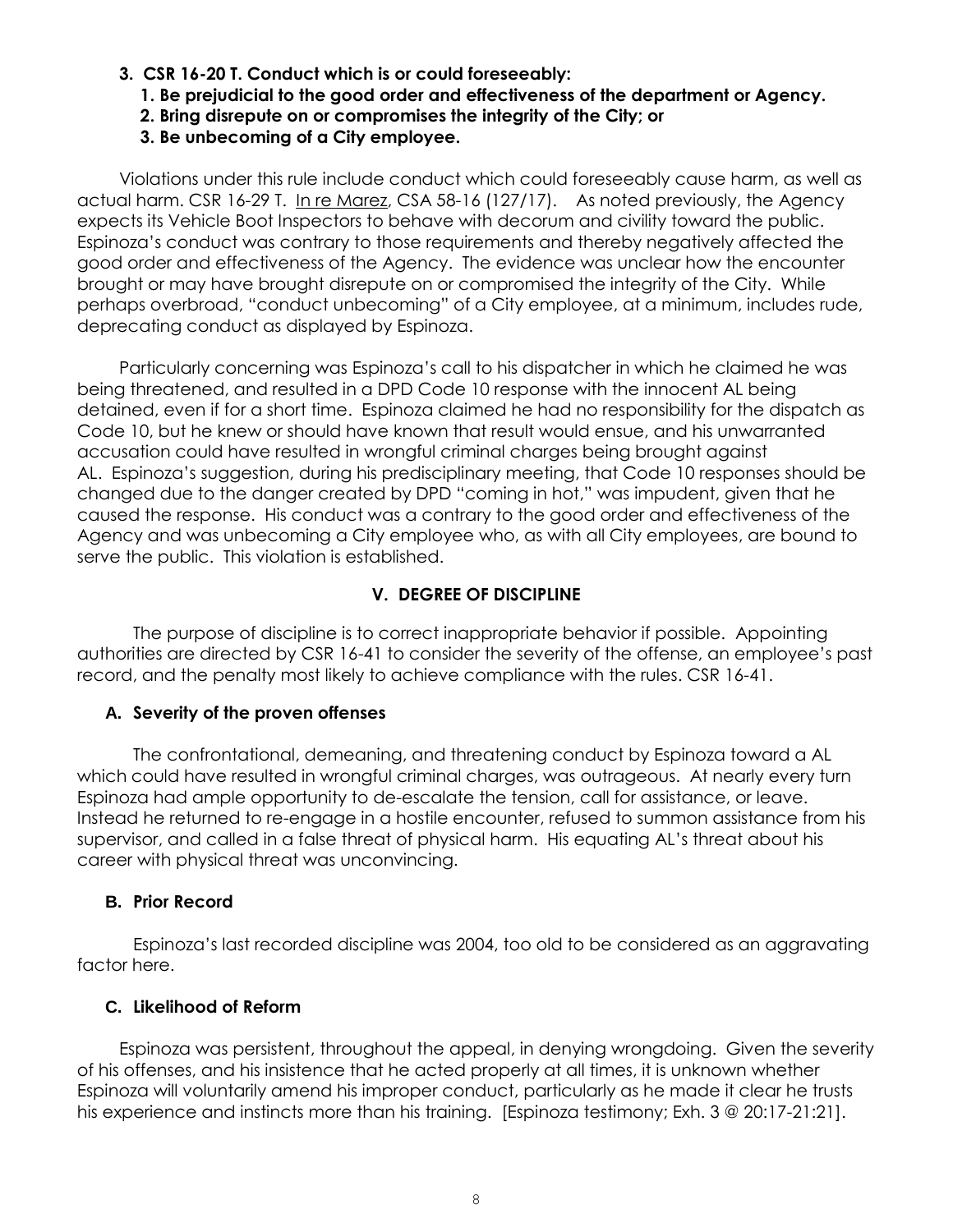- **3. CSR 16-20 T. Conduct which is or could foreseeably:** 
	- **1. Be prejudicial to the good order and effectiveness of the department or Agency.**
	- **2. Bring disrepute on or compromises the integrity of the City; or**
	- **3. Be unbecoming of a City employee.**

Violations under this rule include conduct which could foreseeably cause harm, as well as actual harm. CSR 16-29 T. In re Marez, CSA 58-16 (127/17). As noted previously, the Agency expects its Vehicle Boot Inspectors to behave with decorum and civility toward the public. Espinoza's conduct was contrary to those requirements and thereby negatively affected the good order and effectiveness of the Agency. The evidence was unclear how the encounter brought or may have brought disrepute on or compromised the integrity of the City. While perhaps overbroad, "conduct unbecoming" of a City employee, at a minimum, includes rude, deprecating conduct as displayed by Espinoza.

Particularly concerning was Espinoza's call to his dispatcher in which he claimed he was being threatened, and resulted in a DPD Code 10 response with the innocent AL being detained, even if for a short time. Espinoza claimed he had no responsibility for the dispatch as Code 10, but he knew or should have known that result would ensue, and his unwarranted accusation could have resulted in wrongful criminal charges being brought against AL. Espinoza's suggestion, during his predisciplinary meeting, that Code 10 responses should be changed due to the danger created by DPD "coming in hot," was impudent, given that he caused the response. His conduct was a contrary to the good order and effectiveness of the Agency and was unbecoming a City employee who, as with all City employees, are bound to serve the public. This violation is established.

# **V. DEGREE OF DISCIPLINE**

The purpose of discipline is to correct inappropriate behavior if possible. Appointing authorities are directed by CSR 16-41 to consider the severity of the offense, an employee's past record, and the penalty most likely to achieve compliance with the rules. CSR 16-41.

# **A. Severity of the proven offenses**

The confrontational, demeaning, and threatening conduct by Espinoza toward a AL which could have resulted in wrongful criminal charges, was outrageous. At nearly every turn Espinoza had ample opportunity to de-escalate the tension, call for assistance, or leave. Instead he returned to re-engage in a hostile encounter, refused to summon assistance from his supervisor, and called in a false threat of physical harm. His equating AL's threat about his career with physical threat was unconvincing.

# **B. Prior Record**

Espinoza's last recorded discipline was 2004, too old to be considered as an aggravating factor here.

# **C. Likelihood of Reform**

Espinoza was persistent, throughout the appeal, in denying wrongdoing. Given the severity of his offenses, and his insistence that he acted properly at all times, it is unknown whether Espinoza will voluntarily amend his improper conduct, particularly as he made it clear he trusts his experience and instincts more than his training. [Espinoza testimony; Exh. 3 @ 20:17-21:21].